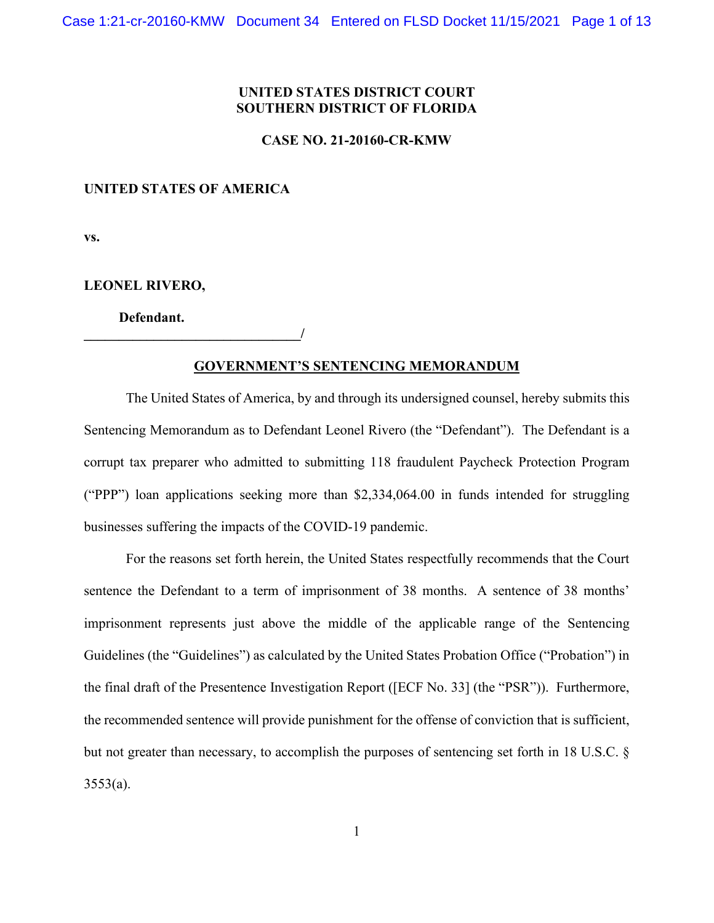# **UNITED STATES DISTRICT COURT SOUTHERN DISTRICT OF FLORIDA**

## **CASE NO. 21-20160-CR-KMW**

## **UNITED STATES OF AMERICA**

**\_\_\_\_\_\_\_\_\_\_\_\_\_\_\_\_\_\_\_\_\_\_\_\_\_\_\_\_\_\_\_/**

**vs.**

## **LEONEL RIVERO,**

 **Defendant.** 

#### **GOVERNMENT'S SENTENCING MEMORANDUM**

The United States of America, by and through its undersigned counsel, hereby submits this Sentencing Memorandum as to Defendant Leonel Rivero (the "Defendant"). The Defendant is a corrupt tax preparer who admitted to submitting 118 fraudulent Paycheck Protection Program ("PPP") loan applications seeking more than \$2,334,064.00 in funds intended for struggling businesses suffering the impacts of the COVID-19 pandemic.

For the reasons set forth herein, the United States respectfully recommends that the Court sentence the Defendant to a term of imprisonment of 38 months. A sentence of 38 months' imprisonment represents just above the middle of the applicable range of the Sentencing Guidelines (the "Guidelines") as calculated by the United States Probation Office ("Probation") in the final draft of the Presentence Investigation Report ([ECF No. 33] (the "PSR")). Furthermore, the recommended sentence will provide punishment for the offense of conviction that is sufficient, but not greater than necessary, to accomplish the purposes of sentencing set forth in 18 U.S.C. §  $3553(a)$ .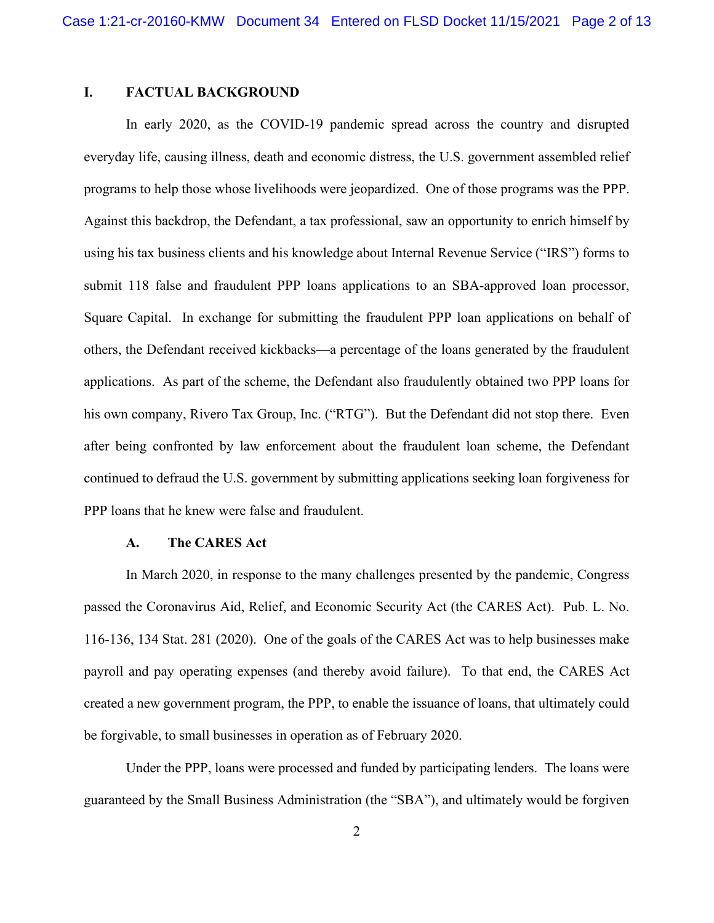# **I. FACTUAL BACKGROUND**

In early 2020, as the COVID-19 pandemic spread across the country and disrupted everyday life, causing illness, death and economic distress, the U.S. government assembled relief programs to help those whose livelihoods were jeopardized. One of those programs was the PPP. Against this backdrop, the Defendant, a tax professional, saw an opportunity to enrich himself by using his tax business clients and his knowledge about Internal Revenue Service ("IRS") forms to submit 118 false and fraudulent PPP loans applications to an SBA-approved loan processor, Square Capital. In exchange for submitting the fraudulent PPP loan applications on behalf of others, the Defendant received kickbacks—a percentage of the loans generated by the fraudulent applications. As part of the scheme, the Defendant also fraudulently obtained two PPP loans for his own company, Rivero Tax Group, Inc. ("RTG"). But the Defendant did not stop there. Even after being confronted by law enforcement about the fraudulent loan scheme, the Defendant continued to defraud the U.S. government by submitting applications seeking loan forgiveness for PPP loans that he knew were false and fraudulent.

#### **A. The CARES Act**

In March 2020, in response to the many challenges presented by the pandemic, Congress passed the Coronavirus Aid, Relief, and Economic Security Act (the CARES Act). Pub. L. No. 116-136, 134 Stat. 281 (2020). One of the goals of the CARES Act was to help businesses make payroll and pay operating expenses (and thereby avoid failure). To that end, the CARES Act created a new government program, the PPP, to enable the issuance of loans, that ultimately could be forgivable, to small businesses in operation as of February 2020.

Under the PPP, loans were processed and funded by participating lenders. The loans were guaranteed by the Small Business Administration (the "SBA"), and ultimately would be forgiven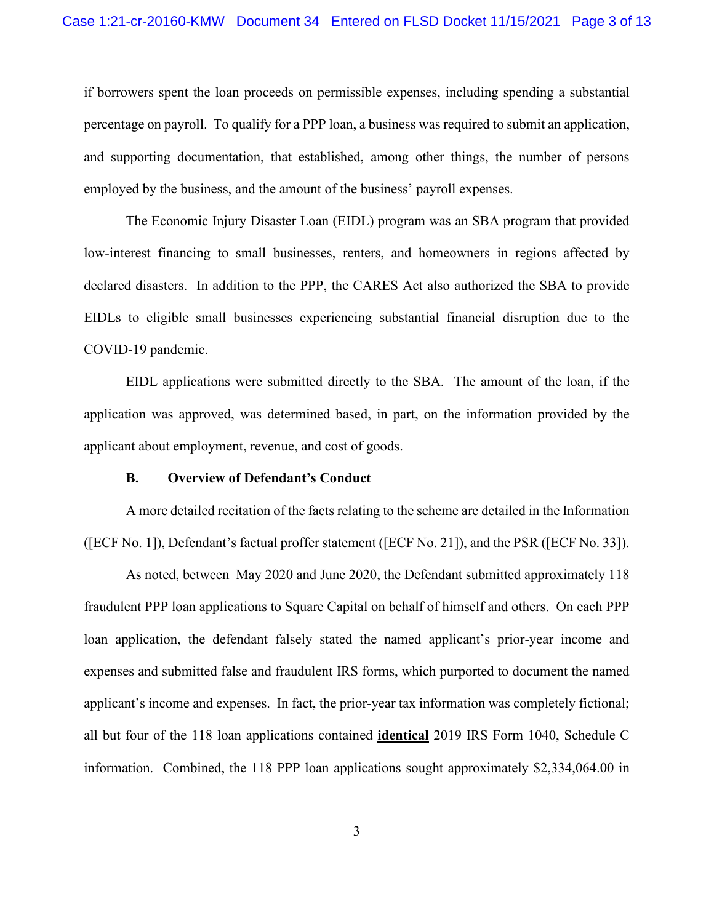if borrowers spent the loan proceeds on permissible expenses, including spending a substantial percentage on payroll. To qualify for a PPP loan, a business was required to submit an application, and supporting documentation, that established, among other things, the number of persons employed by the business, and the amount of the business' payroll expenses.

The Economic Injury Disaster Loan (EIDL) program was an SBA program that provided low-interest financing to small businesses, renters, and homeowners in regions affected by declared disasters. In addition to the PPP, the CARES Act also authorized the SBA to provide EIDLs to eligible small businesses experiencing substantial financial disruption due to the COVID-19 pandemic.

EIDL applications were submitted directly to the SBA. The amount of the loan, if the application was approved, was determined based, in part, on the information provided by the applicant about employment, revenue, and cost of goods.

#### **B. Overview of Defendant's Conduct**

A more detailed recitation of the facts relating to the scheme are detailed in the Information ([ECF No. 1]), Defendant's factual proffer statement ([ECF No. 21]), and the PSR ([ECF No. 33]).

As noted, between May 2020 and June 2020, the Defendant submitted approximately 118 fraudulent PPP loan applications to Square Capital on behalf of himself and others. On each PPP loan application, the defendant falsely stated the named applicant's prior-year income and expenses and submitted false and fraudulent IRS forms, which purported to document the named applicant's income and expenses. In fact, the prior-year tax information was completely fictional; all but four of the 118 loan applications contained **identical** 2019 IRS Form 1040, Schedule C information. Combined, the 118 PPP loan applications sought approximately \$2,334,064.00 in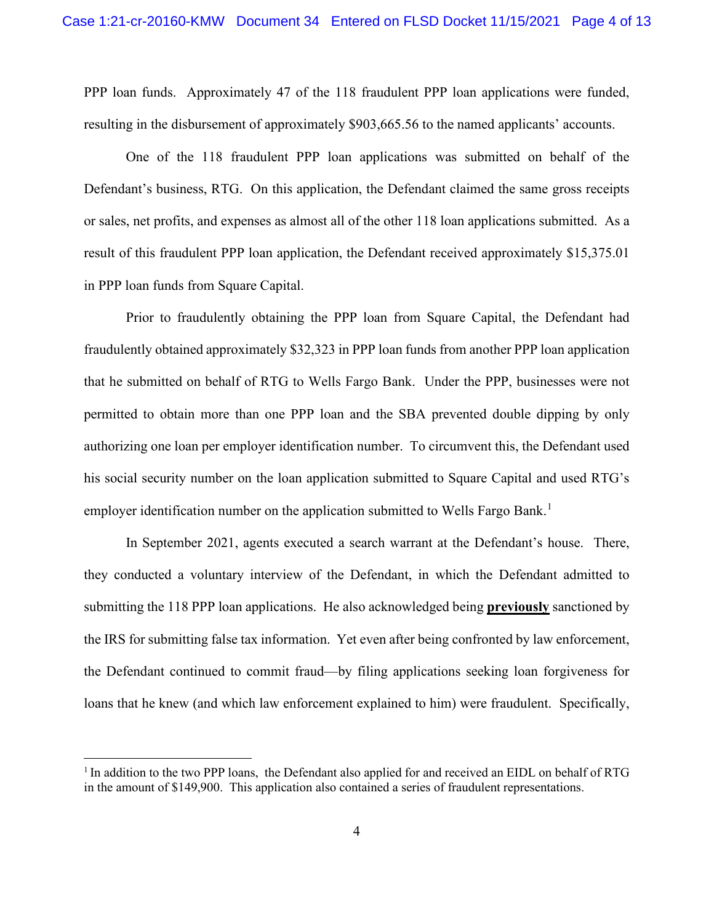PPP loan funds. Approximately 47 of the 118 fraudulent PPP loan applications were funded, resulting in the disbursement of approximately \$903,665.56 to the named applicants' accounts.

One of the 118 fraudulent PPP loan applications was submitted on behalf of the Defendant's business, RTG. On this application, the Defendant claimed the same gross receipts or sales, net profits, and expenses as almost all of the other 118 loan applications submitted. As a result of this fraudulent PPP loan application, the Defendant received approximately \$15,375.01 in PPP loan funds from Square Capital.

Prior to fraudulently obtaining the PPP loan from Square Capital, the Defendant had fraudulently obtained approximately \$32,323 in PPP loan funds from another PPP loan application that he submitted on behalf of RTG to Wells Fargo Bank. Under the PPP, businesses were not permitted to obtain more than one PPP loan and the SBA prevented double dipping by only authorizing one loan per employer identification number. To circumvent this, the Defendant used his social security number on the loan application submitted to Square Capital and used RTG's employer identification number on the application submitted to Wells Fargo Bank.<sup>[1](#page-3-0)</sup>

In September 2021, agents executed a search warrant at the Defendant's house. There, they conducted a voluntary interview of the Defendant, in which the Defendant admitted to submitting the 118 PPP loan applications. He also acknowledged being **previously** sanctioned by the IRS for submitting false tax information. Yet even after being confronted by law enforcement, the Defendant continued to commit fraud—by filing applications seeking loan forgiveness for loans that he knew (and which law enforcement explained to him) were fraudulent. Specifically,

<span id="page-3-0"></span><sup>&</sup>lt;sup>1</sup> In addition to the two PPP loans, the Defendant also applied for and received an EIDL on behalf of RTG in the amount of \$149,900. This application also contained a series of fraudulent representations.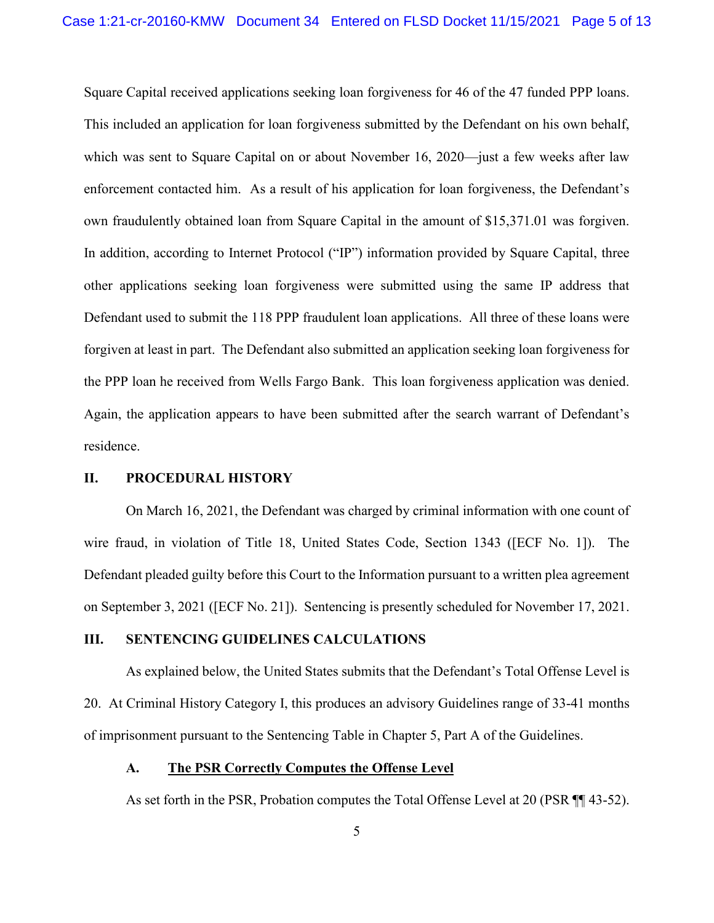Square Capital received applications seeking loan forgiveness for 46 of the 47 funded PPP loans. This included an application for loan forgiveness submitted by the Defendant on his own behalf, which was sent to Square Capital on or about November 16, 2020—just a few weeks after law enforcement contacted him. As a result of his application for loan forgiveness, the Defendant's own fraudulently obtained loan from Square Capital in the amount of \$15,371.01 was forgiven. In addition, according to Internet Protocol ("IP") information provided by Square Capital, three other applications seeking loan forgiveness were submitted using the same IP address that Defendant used to submit the 118 PPP fraudulent loan applications. All three of these loans were forgiven at least in part. The Defendant also submitted an application seeking loan forgiveness for the PPP loan he received from Wells Fargo Bank. This loan forgiveness application was denied. Again, the application appears to have been submitted after the search warrant of Defendant's residence.

## **II. PROCEDURAL HISTORY**

On March 16, 2021, the Defendant was charged by criminal information with one count of wire fraud, in violation of Title 18, United States Code, Section 1343 ([ECF No. 1]). The Defendant pleaded guilty before this Court to the Information pursuant to a written plea agreement on September 3, 2021 ([ECF No. 21]). Sentencing is presently scheduled for November 17, 2021.

## **III. SENTENCING GUIDELINES CALCULATIONS**

As explained below, the United States submits that the Defendant's Total Offense Level is 20. At Criminal History Category I, this produces an advisory Guidelines range of 33-41 months of imprisonment pursuant to the Sentencing Table in Chapter 5, Part A of the Guidelines.

## **A. The PSR Correctly Computes the Offense Level**

As set forth in the PSR, Probation computes the Total Offense Level at 20 (PSR ¶¶ 43-52).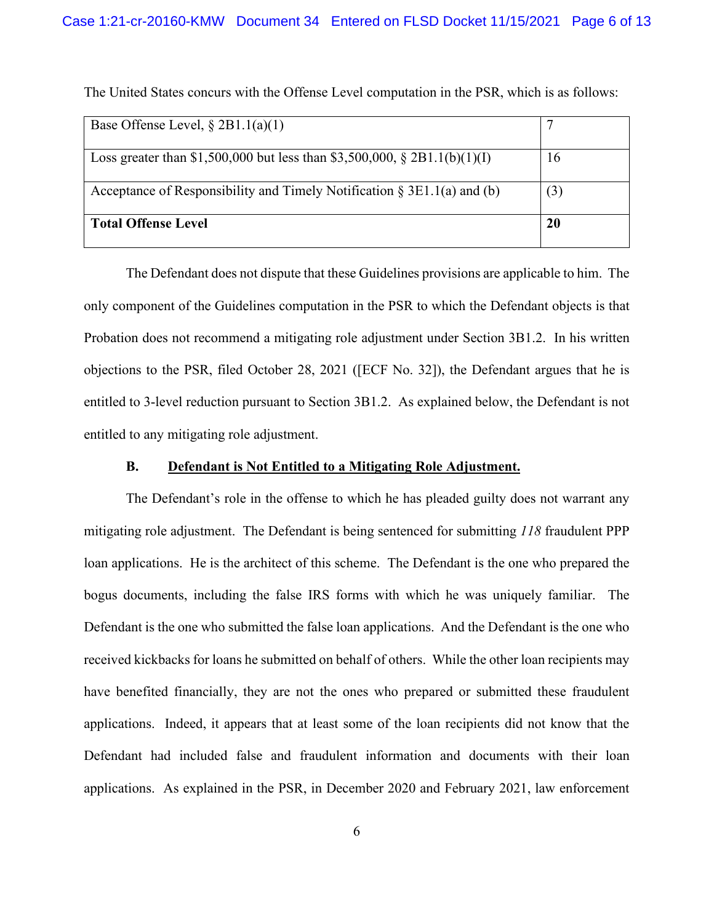| Base Offense Level, $\S 2B1.1(a)(1)$                                       |     |
|----------------------------------------------------------------------------|-----|
| Loss greater than \$1,500,000 but less than \$3,500,000, \$2B1.1(b)(1)(I)  | 16  |
| Acceptance of Responsibility and Timely Notification $\S 3E1.1(a)$ and (b) | (3) |
| <b>Total Offense Level</b>                                                 | 20  |

The United States concurs with the Offense Level computation in the PSR, which is as follows:

The Defendant does not dispute that these Guidelines provisions are applicable to him. The only component of the Guidelines computation in the PSR to which the Defendant objects is that Probation does not recommend a mitigating role adjustment under Section 3B1.2. In his written objections to the PSR, filed October 28, 2021 ([ECF No. 32]), the Defendant argues that he is entitled to 3-level reduction pursuant to Section 3B1.2. As explained below, the Defendant is not entitled to any mitigating role adjustment.

#### **B. Defendant is Not Entitled to a Mitigating Role Adjustment.**

The Defendant's role in the offense to which he has pleaded guilty does not warrant any mitigating role adjustment. The Defendant is being sentenced for submitting *118* fraudulent PPP loan applications. He is the architect of this scheme. The Defendant is the one who prepared the bogus documents, including the false IRS forms with which he was uniquely familiar. The Defendant is the one who submitted the false loan applications. And the Defendant is the one who received kickbacks for loans he submitted on behalf of others. While the other loan recipients may have benefited financially, they are not the ones who prepared or submitted these fraudulent applications. Indeed, it appears that at least some of the loan recipients did not know that the Defendant had included false and fraudulent information and documents with their loan applications. As explained in the PSR, in December 2020 and February 2021, law enforcement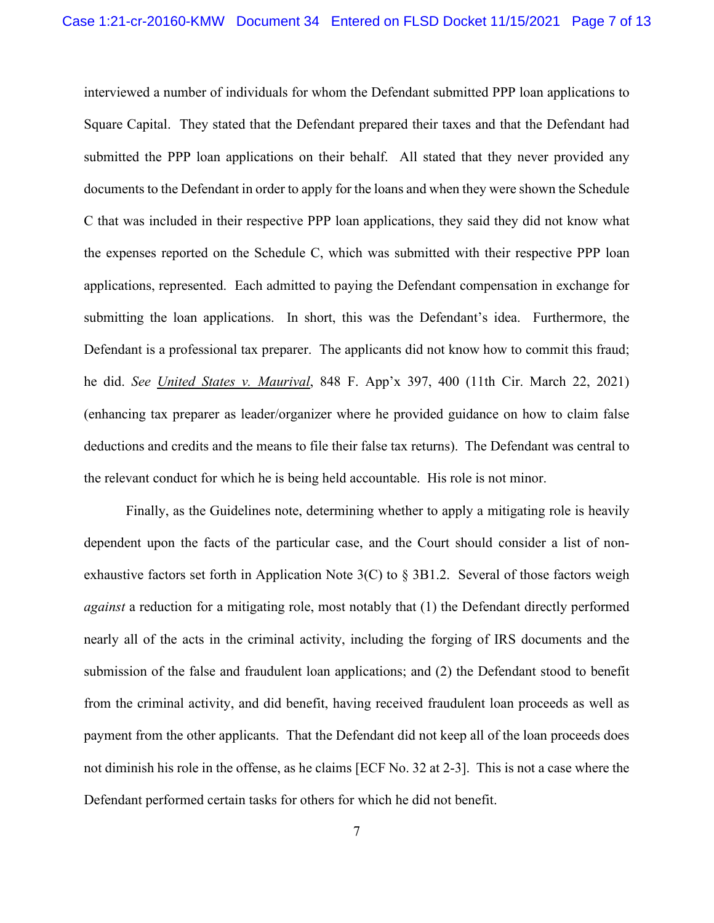interviewed a number of individuals for whom the Defendant submitted PPP loan applications to Square Capital. They stated that the Defendant prepared their taxes and that the Defendant had submitted the PPP loan applications on their behalf. All stated that they never provided any documents to the Defendant in order to apply for the loans and when they were shown the Schedule C that was included in their respective PPP loan applications, they said they did not know what the expenses reported on the Schedule C, which was submitted with their respective PPP loan applications, represented. Each admitted to paying the Defendant compensation in exchange for submitting the loan applications. In short, this was the Defendant's idea. Furthermore, the Defendant is a professional tax preparer. The applicants did not know how to commit this fraud; he did. *See United States v. Maurival*, 848 F. App'x 397, 400 (11th Cir. March 22, 2021) (enhancing tax preparer as leader/organizer where he provided guidance on how to claim false deductions and credits and the means to file their false tax returns). The Defendant was central to the relevant conduct for which he is being held accountable. His role is not minor.

Finally, as the Guidelines note, determining whether to apply a mitigating role is heavily dependent upon the facts of the particular case, and the Court should consider a list of nonexhaustive factors set forth in Application Note  $3(C)$  to  $\S 3B1.2$ . Several of those factors weigh *against* a reduction for a mitigating role, most notably that (1) the Defendant directly performed nearly all of the acts in the criminal activity, including the forging of IRS documents and the submission of the false and fraudulent loan applications; and (2) the Defendant stood to benefit from the criminal activity, and did benefit, having received fraudulent loan proceeds as well as payment from the other applicants. That the Defendant did not keep all of the loan proceeds does not diminish his role in the offense, as he claims [ECF No. 32 at 2-3]. This is not a case where the Defendant performed certain tasks for others for which he did not benefit.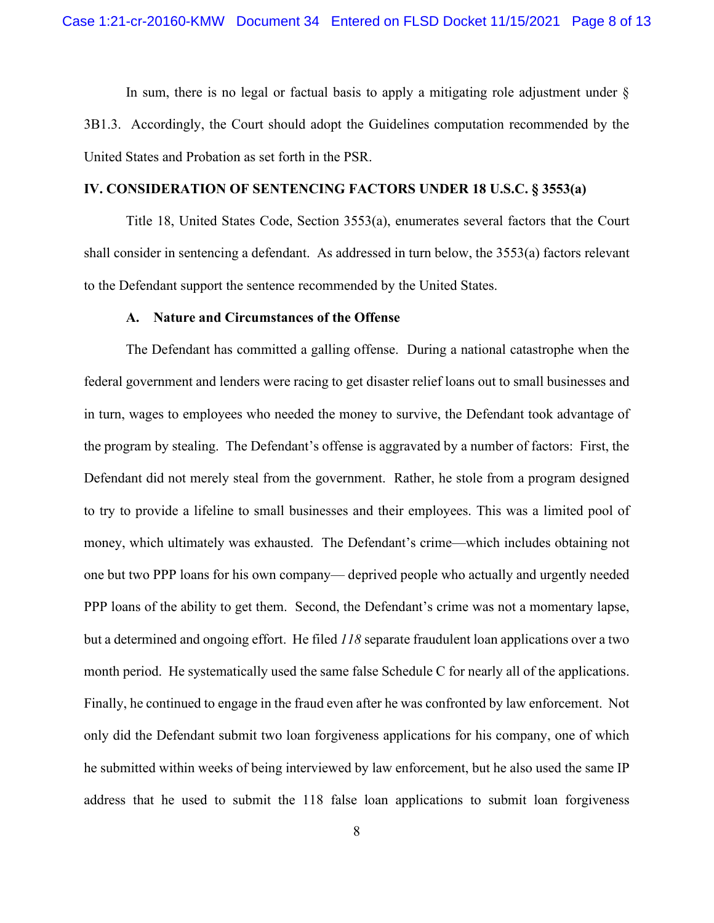In sum, there is no legal or factual basis to apply a mitigating role adjustment under § 3B1.3. Accordingly, the Court should adopt the Guidelines computation recommended by the United States and Probation as set forth in the PSR.

## **IV. CONSIDERATION OF SENTENCING FACTORS UNDER 18 U.S.C. § 3553(a)**

Title 18, United States Code, Section 3553(a), enumerates several factors that the Court shall consider in sentencing a defendant. As addressed in turn below, the 3553(a) factors relevant to the Defendant support the sentence recommended by the United States.

#### **A. Nature and Circumstances of the Offense**

The Defendant has committed a galling offense. During a national catastrophe when the federal government and lenders were racing to get disaster relief loans out to small businesses and in turn, wages to employees who needed the money to survive, the Defendant took advantage of the program by stealing. The Defendant's offense is aggravated by a number of factors: First, the Defendant did not merely steal from the government. Rather, he stole from a program designed to try to provide a lifeline to small businesses and their employees. This was a limited pool of money, which ultimately was exhausted. The Defendant's crime—which includes obtaining not one but two PPP loans for his own company— deprived people who actually and urgently needed PPP loans of the ability to get them. Second, the Defendant's crime was not a momentary lapse, but a determined and ongoing effort. He filed *118* separate fraudulent loan applications over a two month period. He systematically used the same false Schedule C for nearly all of the applications. Finally, he continued to engage in the fraud even after he was confronted by law enforcement. Not only did the Defendant submit two loan forgiveness applications for his company, one of which he submitted within weeks of being interviewed by law enforcement, but he also used the same IP address that he used to submit the 118 false loan applications to submit loan forgiveness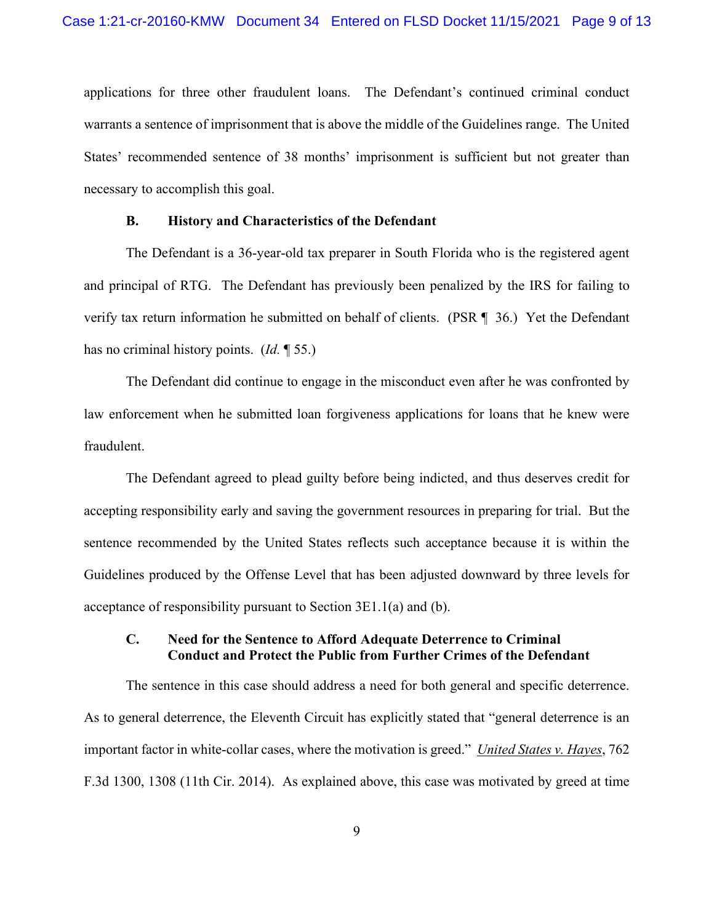applications for three other fraudulent loans. The Defendant's continued criminal conduct warrants a sentence of imprisonment that is above the middle of the Guidelines range. The United States' recommended sentence of 38 months' imprisonment is sufficient but not greater than necessary to accomplish this goal.

## **B. History and Characteristics of the Defendant**

The Defendant is a 36-year-old tax preparer in South Florida who is the registered agent and principal of RTG. The Defendant has previously been penalized by the IRS for failing to verify tax return information he submitted on behalf of clients. (PSR ¶ 36.) Yet the Defendant has no criminal history points. (*Id.* ¶ 55.)

The Defendant did continue to engage in the misconduct even after he was confronted by law enforcement when he submitted loan forgiveness applications for loans that he knew were fraudulent.

The Defendant agreed to plead guilty before being indicted, and thus deserves credit for accepting responsibility early and saving the government resources in preparing for trial. But the sentence recommended by the United States reflects such acceptance because it is within the Guidelines produced by the Offense Level that has been adjusted downward by three levels for acceptance of responsibility pursuant to Section 3E1.1(a) and (b).

# **C. Need for the Sentence to Afford Adequate Deterrence to Criminal Conduct and Protect the Public from Further Crimes of the Defendant**

The sentence in this case should address a need for both general and specific deterrence. As to general deterrence, the Eleventh Circuit has explicitly stated that "general deterrence is an important factor in white-collar cases, where the motivation is greed." *United States v. Hayes*, 762 F.3d 1300, 1308 (11th Cir. 2014). As explained above, this case was motivated by greed at time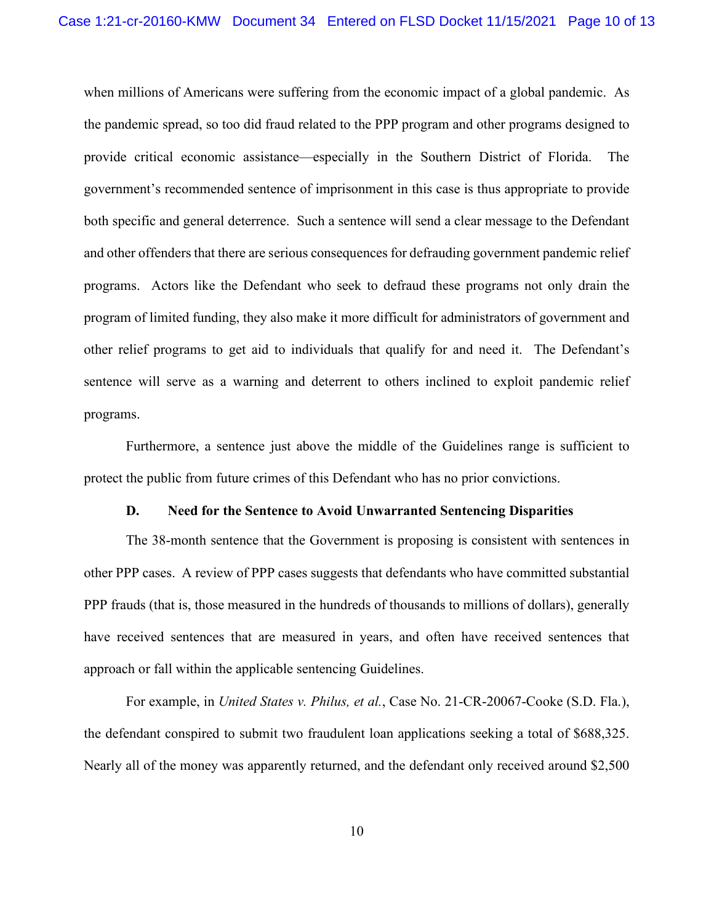when millions of Americans were suffering from the economic impact of a global pandemic. As the pandemic spread, so too did fraud related to the PPP program and other programs designed to provide critical economic assistance—especially in the Southern District of Florida. The government's recommended sentence of imprisonment in this case is thus appropriate to provide both specific and general deterrence. Such a sentence will send a clear message to the Defendant and other offenders that there are serious consequences for defrauding government pandemic relief programs. Actors like the Defendant who seek to defraud these programs not only drain the program of limited funding, they also make it more difficult for administrators of government and other relief programs to get aid to individuals that qualify for and need it. The Defendant's sentence will serve as a warning and deterrent to others inclined to exploit pandemic relief programs.

Furthermore, a sentence just above the middle of the Guidelines range is sufficient to protect the public from future crimes of this Defendant who has no prior convictions.

#### **D. Need for the Sentence to Avoid Unwarranted Sentencing Disparities**

The 38-month sentence that the Government is proposing is consistent with sentences in other PPP cases. A review of PPP cases suggests that defendants who have committed substantial PPP frauds (that is, those measured in the hundreds of thousands to millions of dollars), generally have received sentences that are measured in years, and often have received sentences that approach or fall within the applicable sentencing Guidelines.

For example, in *United States v. Philus, et al.*, Case No. 21-CR-20067-Cooke (S.D. Fla.), the defendant conspired to submit two fraudulent loan applications seeking a total of \$688,325. Nearly all of the money was apparently returned, and the defendant only received around \$2,500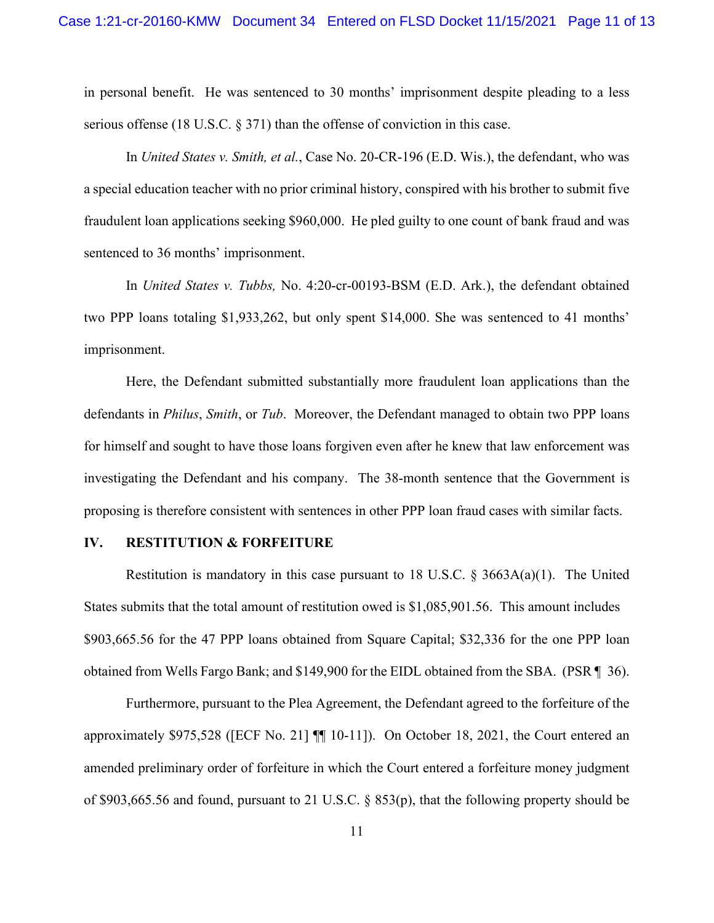in personal benefit. He was sentenced to 30 months' imprisonment despite pleading to a less serious offense (18 U.S.C. § 371) than the offense of conviction in this case.

In *United States v. Smith, et al.*, Case No. 20-CR-196 (E.D. Wis.), the defendant, who was a special education teacher with no prior criminal history, conspired with his brother to submit five fraudulent loan applications seeking \$960,000. He pled guilty to one count of bank fraud and was sentenced to 36 months' imprisonment.

In *United States v. Tubbs,* No. 4:20-cr-00193-BSM (E.D. Ark.), the defendant obtained two PPP loans totaling \$1,933,262, but only spent \$14,000. She was sentenced to 41 months' imprisonment.

Here, the Defendant submitted substantially more fraudulent loan applications than the defendants in *Philus*, *Smith*, or *Tub*. Moreover, the Defendant managed to obtain two PPP loans for himself and sought to have those loans forgiven even after he knew that law enforcement was investigating the Defendant and his company. The 38-month sentence that the Government is proposing is therefore consistent with sentences in other PPP loan fraud cases with similar facts.

### **IV. RESTITUTION & FORFEITURE**

Restitution is mandatory in this case pursuant to 18 U.S.C.  $\frac{8 \cdot 3663A(a)(1)}{1}$ . The United States submits that the total amount of restitution owed is \$1,085,901.56. This amount includes \$903,665.56 for the 47 PPP loans obtained from Square Capital; \$32,336 for the one PPP loan obtained from Wells Fargo Bank; and \$149,900 for the EIDL obtained from the SBA. (PSR ¶ 36).

Furthermore, pursuant to the Plea Agreement, the Defendant agreed to the forfeiture of the approximately \$975,528 ([ECF No. 21] ¶¶ 10-11]). On October 18, 2021, the Court entered an amended preliminary order of forfeiture in which the Court entered a forfeiture money judgment of \$903,665.56 and found, pursuant to 21 U.S.C. § 853(p), that the following property should be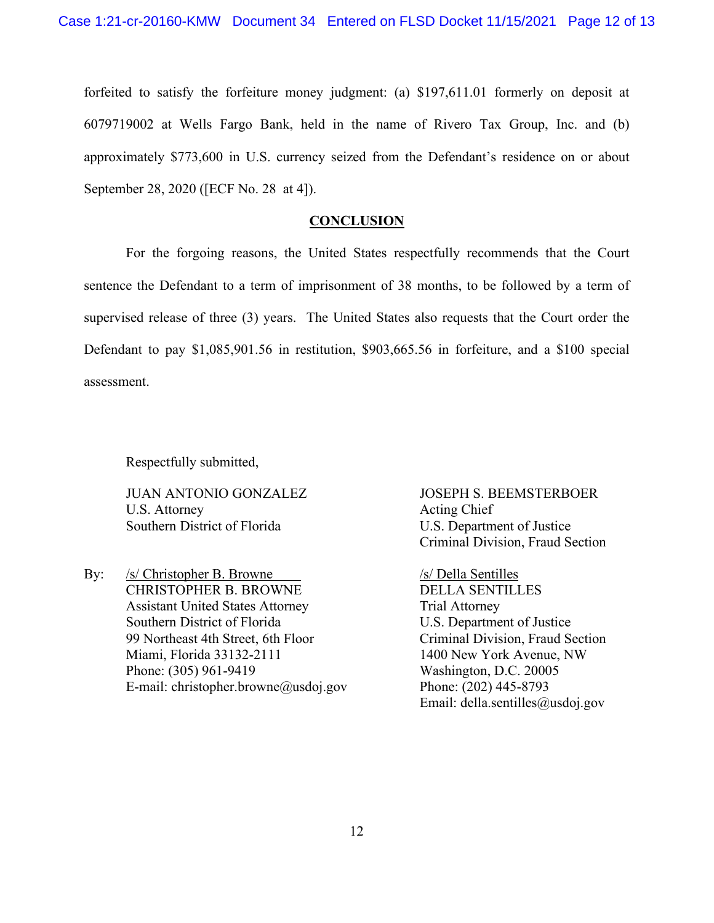forfeited to satisfy the forfeiture money judgment: (a) \$197,611.01 formerly on deposit at 6079719002 at Wells Fargo Bank, held in the name of Rivero Tax Group, Inc. and (b) approximately \$773,600 in U.S. currency seized from the Defendant's residence on or about September 28, 2020 ([ECF No. 28 at 4]).

## **CONCLUSION**

For the forgoing reasons, the United States respectfully recommends that the Court sentence the Defendant to a term of imprisonment of 38 months, to be followed by a term of supervised release of three (3) years. The United States also requests that the Court order the Defendant to pay \$1,085,901.56 in restitution, \$903,665.56 in forfeiture, and a \$100 special assessment.

Respectfully submitted,

U.S. Attorney Acting Chief Southern District of Florida U.S. Department of Justice

By: /s/ Christopher B. Browne /s/ Della Sentilles CHRISTOPHER B. BROWNE DELLA SENTILLES Assistant United States Attorney Trial Attorney Southern District of Florida U.S. Department of Justice 99 Northeast 4th Street, 6th Floor Criminal Division, Fraud Section Miami, Florida 33132-2111 1400 New York Avenue, NW Phone: (305) 961-9419 Washington, D.C. 20005 E-mail: [christopher.browne@usdoj.gov](mailto:christopher.browne@usdoj.gov) Phone: (202) 445-8793

JUAN ANTONIO GONZALEZ JOSEPH S. BEEMSTERBOER Criminal Division, Fraud Section

Email: della.sentilles@usdoj.gov